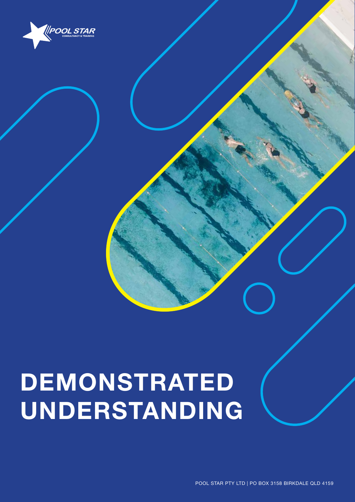

# **DEMONSTRATED UNDERSTANDING**

1 POOL STAR PTY LTD | PO BOX 3158 BIRKDALE QLD 4159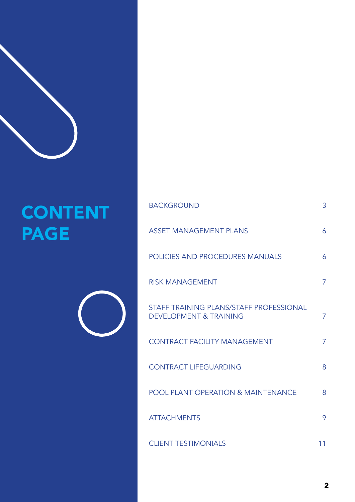

## CONTENT PAGE

| <b>BACKGROUND</b>                                                            | 3              |
|------------------------------------------------------------------------------|----------------|
| <b>ASSET MANAGEMENT PLANS</b>                                                | 6              |
| POLICIES AND PROCEDURES MANUALS                                              | 6              |
| <b>RISK MANAGEMENT</b>                                                       | 7              |
| STAFF TRAINING PLANS/STAFF PROFESSIONAL<br><b>DEVELOPMENT &amp; TRAINING</b> | $\overline{7}$ |
| <b>CONTRACT FACILITY MANAGEMENT</b>                                          | 7              |
| <b>CONTRACT LIFEGUARDING</b>                                                 | 8              |
| <b>POOL PLANT OPERATION &amp; MAINTENANCE</b>                                | 8              |
| <b>ATTACHMENTS</b>                                                           | 9              |
| <b>CLIENT TESTIMONIALS</b>                                                   | 11             |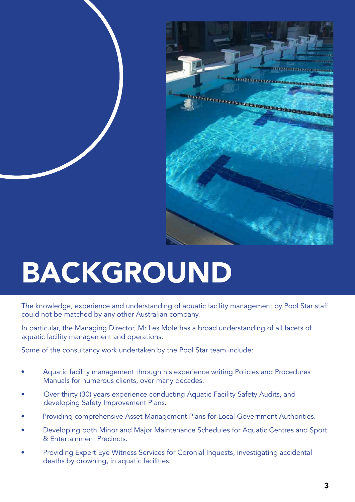

# BACKGROUND

The knowledge, experience and understanding of aquatic facility management by Pool Star staff could not be matched by any other Australian company.

In particular, the Managing Director, Mr Les Mole has a broad understanding of all facets of aquatic facility management and operations.

Some of the consultancy work undertaken by the Pool Star team include:

- Aquatic facility management through his experience writing Policies and Procedures Manuals for numerous clients, over many decades.
- Over thirty (30) years experience conducting Aquatic Facility Safety Audits, and developing Safety Improvement Plans.
- Providing comprehensive Asset Management Plans for Local Government Authorities.
- Developing both Minor and Major Maintenance Schedules for Aquatic Centres and Sport & Entertainment Precincts.
- Providing Expert Eye Witness Services for Coronial Inquests, investigating accidental deaths by drowning, in aquatic facilities.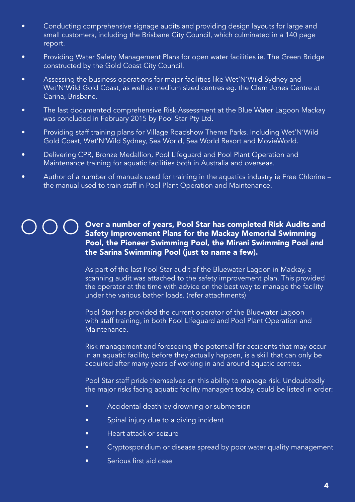- Conducting comprehensive signage audits and providing design layouts for large and small customers, including the Brisbane City Council, which culminated in a 140 page report.
- Providing Water Safety Management Plans for open water facilities ie. The Green Bridge constructed by the Gold Coast City Council.
- Assessing the business operations for major facilities like Wet'N'Wild Sydney and Wet'N'Wild Gold Coast, as well as medium sized centres eg. the Clem Jones Centre at Carina, Brisbane.
- The last documented comprehensive Risk Assessment at the Blue Water Lagoon Mackay was concluded in February 2015 by Pool Star Pty Ltd.
- Providing staff training plans for Village Roadshow Theme Parks. Including Wet'N'Wild Gold Coast, Wet'N'Wild Sydney, Sea World, Sea World Resort and MovieWorld.
- Delivering CPR, Bronze Medallion, Pool Lifeguard and Pool Plant Operation and Maintenance training for aquatic facilities both in Australia and overseas.
- Author of a number of manuals used for training in the aquatics industry ie Free Chlorine the manual used to train staff in Pool Plant Operation and Maintenance.

#### Over a number of years, Pool Star has completed Risk Audits and Safety Improvement Plans for the Mackay Memorial Swimming Pool, the Pioneer Swimming Pool, the Mirani Swimming Pool and the Sarina Swimming Pool (just to name a few).

As part of the last Pool Star audit of the Bluewater Lagoon in Mackay, a scanning audit was attached to the safety improvement plan. This provided the operator at the time with advice on the best way to manage the facility under the various bather loads. (refer attachments)

Pool Star has provided the current operator of the Bluewater Lagoon with staff training, in both Pool Lifeguard and Pool Plant Operation and Maintenance.

Risk management and foreseeing the potential for accidents that may occur in an aquatic facility, before they actually happen, is a skill that can only be acquired after many years of working in and around aquatic centres.

Pool Star staff pride themselves on this ability to manage risk. Undoubtedly the major risks facing aquatic facility managers today, could be listed in order:

- Accidental death by drowning or submersion
- Spinal injury due to a diving incident
- Heart attack or seizure
- Cryptosporidium or disease spread by poor water quality management
- • Serious first aid case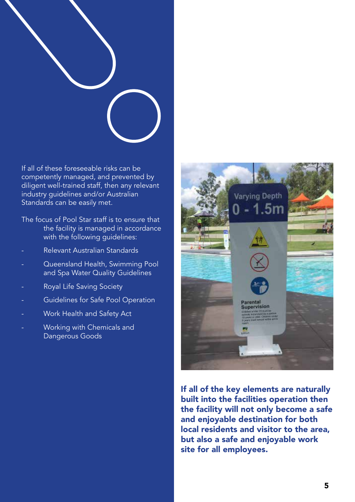

If all of these foreseeable risks can be competently managed, and prevented by diligent well-trained staff, then any relevant industry guidelines and/or Australian Standards can be easily met.

The focus of Pool Star staff is to ensure that the facility is managed in accordance with the following guidelines:

- Relevant Australian Standards
- Queensland Health, Swimming Pool and Spa Water Quality Guidelines
- Royal Life Saving Society
- Guidelines for Safe Pool Operation
- Work Health and Safety Act
- Working with Chemicals and Dangerous Goods



If all of the key elements are naturally built into the facilities operation then the facility will not only become a safe and enjoyable destination for both local residents and visitor to the area, but also a safe and enjoyable work site for all employees.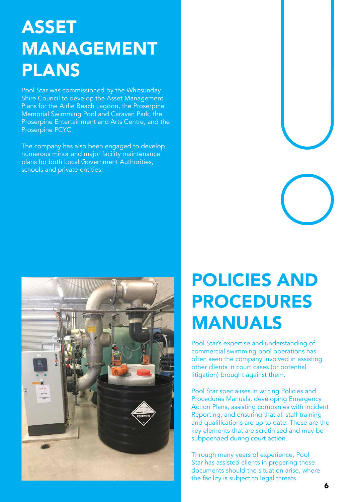## ASSET MANAGEMENT PLANS

Pool Star was commissioned by the Whitsunday Shire Council to develop the Asset Management Plans for the Airlie Beach Lagoon, the Proserpine Memorial Swimming Pool and Caravan Park, the Proserpine Entertainment and Arts Centre, and the Proserpine PCYC.

The company has also been engaged to develop numerous minor and major facility maintenance plans for both Local Government Authorities, schools and private entities.



## POLICIES AND PROCEDURES MANUALS

Pool Star's expertise and understanding of commercial swimming pool operations has often seen the company involved in assisting other clients in court cases (or potential litigation) brought against them.

Pool Star specialises in writing Policies and Procedures Manuals, developing Emergency Action Plans, assisting companies with Incident Reporting, and ensuring that all staff training and qualifications are up to date. These are the key elements that are scrutinised and may be subpoenaed during court action.

Through many years of experience, Pool Star has assisted clients in preparing these documents should the situation arise, where the facility is subject to legal threats.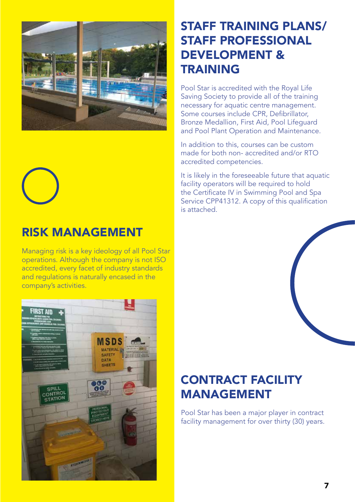



#### RISK MANAGEMENT

Managing risk is a key ideology of all Pool Star operations. Although the company is not ISO accredited, every facet of industry standards and regulations is naturally encased in the company's activities.



#### STAFF TRAINING PLANS/ STAFF PROFESSIONAL DEVELOPMENT & TRAINING

Pool Star is accredited with the Royal Life Saving Society to provide all of the training necessary for aquatic centre management. Some courses include CPR, Defibrillator, Bronze Medallion, First Aid, Pool Lifeguard and Pool Plant Operation and Maintenance.

In addition to this, courses can be custom made for both non- accredited and/or RTO accredited competencies.

It is likely in the foreseeable future that aquatic facility operators will be required to hold the Certificate IV in Swimming Pool and Spa Service CPP41312. A copy of this qualification is attached.

#### CONTRACT FACILITY MANAGEMENT

Pool Star has been a major player in contract facility management for over thirty (30) years.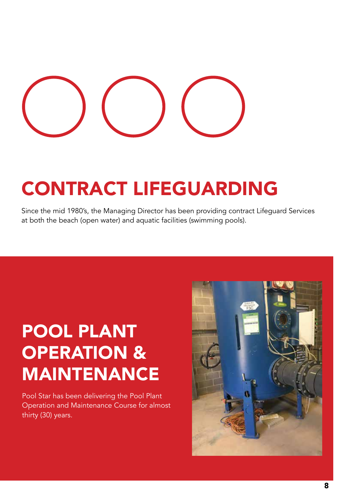## CONTRACT LIFEGUARDING

Since the mid 1980's, the Managing Director has been providing contract Lifeguard Services at both the beach (open water) and aquatic facilities (swimming pools).

## POOL PLANT OPERATION & MAINTENANCE

Pool Star has been delivering the Pool Plant Operation and Maintenance Course for almost thirty (30) years.

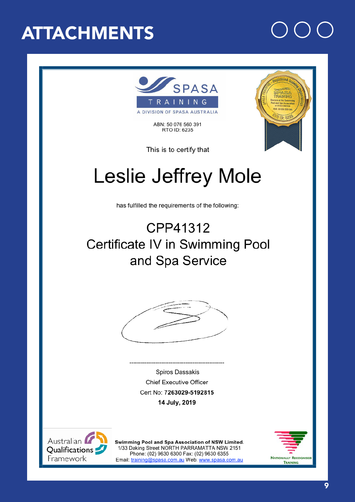## **ATTACHMENTS**



ABN: 50 076 560 391 RTO ID: 6235



This is to certify that

## **Leslie Jeffrey Mole**

has fulfilled the requirements of the following:

### CPP41312 Certificate IV in Swimming Pool and Spa Service



**Spiros Dassakis Chief Executive Officer** Cert No: 7263029-5192815 14 July, 2019



Swimming Pool and Spa Association of NSW Limited. 1/33 Daking Street NORTH PARRAMATTA NSW 2151 Phone: (02) 9630 6300 Fax: (02) 9630 6355 Email: training@spasa.com.au Web: www.spasa.com.au



9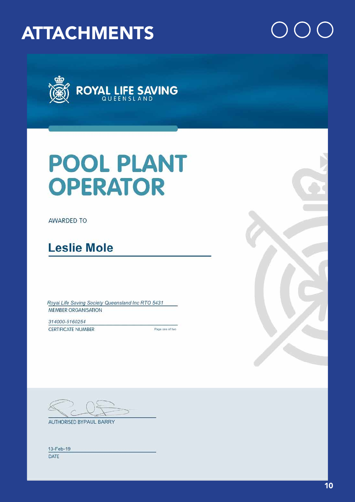### **ATTACHMENTS**



## **POOL PLANT OPERATOR**

**AWARDED TO** 

### **Leslie Mole**

Royal Life Saving Society Queensland Inc RTO 5431 MEMBER ORGANISATION

314000-5160254 CERTIFICATE NUMBER

Page one of two



**AUTHORISED BYPAUL BARRY** 

| ٠ | ч |
|---|---|
|   |   |